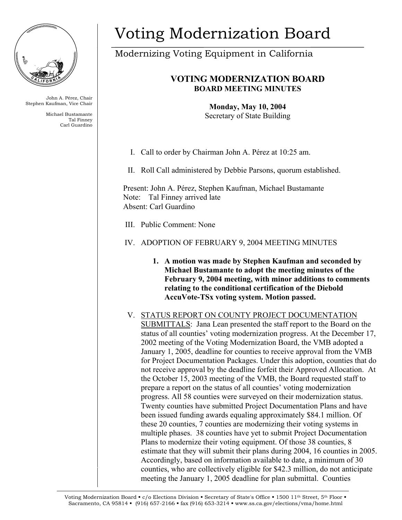

John A. Pérez, Chair Stephen Kaufman, Vice Chair

> Michael Bustamante Tal Finney Carl Guardino

# Voting Modernization Board

Modernizing Voting Equipment in California

# **VOTING MODERNIZATION BOARD BOARD MEETING MINUTES**

**Monday, May 10, 2004**  Secretary of State Building

I. Call to order by Chairman John A. Pérez at 10:25 am.

II. Roll Call administered by Debbie Parsons, quorum established.

Present: John A. Pérez, Stephen Kaufman, Michael Bustamante Note: Tal Finney arrived late Absent: Carl Guardino

III. Public Comment: None

# IV. ADOPTION OF FEBRUARY 9, 2004 MEETING MINUTES

- **1. A motion was made by Stephen Kaufman and seconded by Michael Bustamante to adopt the meeting minutes of the February 9, 2004 meeting, with minor additions to comments relating to the conditional certification of the Diebold AccuVote-TSx voting system. Motion passed.**
- V. STATUS REPORT ON COUNTY PROJECT DOCUMENTATION SUBMITTALS: Jana Lean presented the staff report to the Board on the status of all counties' voting modernization progress. At the December 17, 2002 meeting of the Voting Modernization Board, the VMB adopted a January 1, 2005, deadline for counties to receive approval from the VMB for Project Documentation Packages. Under this adoption, counties that do not receive approval by the deadline forfeit their Approved Allocation. At the October 15, 2003 meeting of the VMB, the Board requested staff to prepare a report on the status of all counties' voting modernization progress. All 58 counties were surveyed on their modernization status. Twenty counties have submitted Project Documentation Plans and have been issued funding awards equaling approximately \$84.1 million. Of these 20 counties, 7 counties are modernizing their voting systems in multiple phases. 38 counties have yet to submit Project Documentation Plans to modernize their voting equipment. Of those 38 counties, 8 estimate that they will submit their plans during 2004, 16 counties in 2005. Accordingly, based on information available to date, a minimum of 30 counties, who are collectively eligible for \$42.3 million, do not anticipate meeting the January 1, 2005 deadline for plan submittal. Counties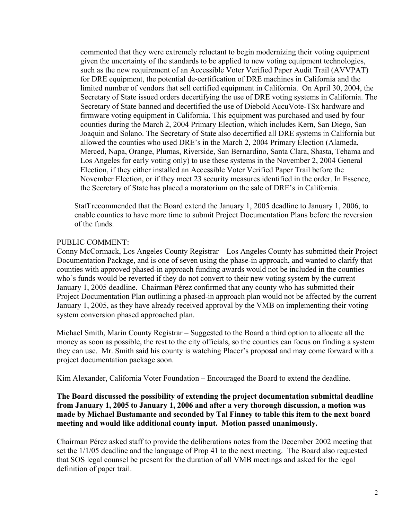commented that they were extremely reluctant to begin modernizing their voting equipment given the uncertainty of the standards to be applied to new voting equipment technologies, such as the new requirement of an Accessible Voter Verified Paper Audit Trail (AVVPAT) for DRE equipment, the potential de-certification of DRE machines in California and the limited number of vendors that sell certified equipment in California. On April 30, 2004, the Secretary of State issued orders decertifying the use of DRE voting systems in California. The Secretary of State banned and decertified the use of Diebold AccuVote-TSx hardware and firmware voting equipment in California. This equipment was purchased and used by four counties during the March 2, 2004 Primary Election, which includes Kern, San Diego, San Joaquin and Solano. The Secretary of State also decertified all DRE systems in California but allowed the counties who used DRE's in the March 2, 2004 Primary Election (Alameda, Merced, Napa, Orange, Plumas, Riverside, San Bernardino, Santa Clara, Shasta, Tehama and Los Angeles for early voting only) to use these systems in the November 2, 2004 General Election, if they either installed an Accessible Voter Verified Paper Trail before the November Election, or if they meet 23 security measures identified in the order. In Essence, the Secretary of State has placed a moratorium on the sale of DRE's in California.

Staff recommended that the Board extend the January 1, 2005 deadline to January 1, 2006, to enable counties to have more time to submit Project Documentation Plans before the reversion of the funds.

## PUBLIC COMMENT:

Conny McCormack, Los Angeles County Registrar – Los Angeles County has submitted their Project Documentation Package, and is one of seven using the phase-in approach, and wanted to clarify that counties with approved phased-in approach funding awards would not be included in the counties who's funds would be reverted if they do not convert to their new voting system by the current January 1, 2005 deadline. Chairman Pérez confirmed that any county who has submitted their Project Documentation Plan outlining a phased-in approach plan would not be affected by the current January 1, 2005, as they have already received approval by the VMB on implementing their voting system conversion phased approached plan.

Michael Smith, Marin County Registrar – Suggested to the Board a third option to allocate all the money as soon as possible, the rest to the city officials, so the counties can focus on finding a system they can use. Mr. Smith said his county is watching Placer's proposal and may come forward with a project documentation package soon.

Kim Alexander, California Voter Foundation – Encouraged the Board to extend the deadline.

# **The Board discussed the possibility of extending the project documentation submittal deadline from January 1, 2005 to January 1, 2006 and after a very thorough discussion, a motion was made by Michael Bustamante and seconded by Tal Finney to table this item to the next board meeting and would like additional county input. Motion passed unanimously.**

Chairman Pérez asked staff to provide the deliberations notes from the December 2002 meeting that set the 1/1/05 deadline and the language of Prop 41 to the next meeting. The Board also requested that SOS legal counsel be present for the duration of all VMB meetings and asked for the legal definition of paper trail.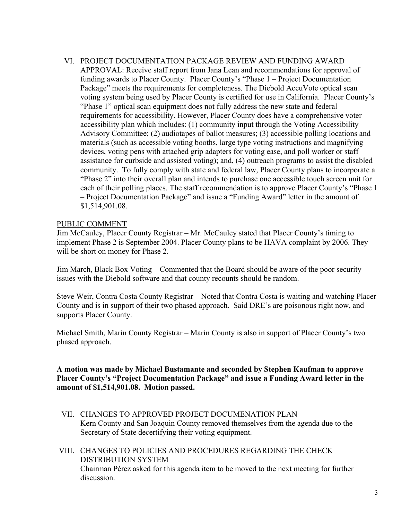VI. PROJECT DOCUMENTATION PACKAGE REVIEW AND FUNDING AWARD APPROVAL: Receive staff report from Jana Lean and recommendations for approval of funding awards to Placer County. Placer County's "Phase 1 – Project Documentation Package" meets the requirements for completeness. The Diebold AccuVote optical scan voting system being used by Placer County is certified for use in California. Placer County's "Phase 1" optical scan equipment does not fully address the new state and federal requirements for accessibility. However, Placer County does have a comprehensive voter accessibility plan which includes: (1) community input through the Voting Accessibility Advisory Committee; (2) audiotapes of ballot measures; (3) accessible polling locations and materials (such as accessible voting booths, large type voting instructions and magnifying devices, voting pens with attached grip adapters for voting ease, and poll worker or staff assistance for curbside and assisted voting); and, (4) outreach programs to assist the disabled community. To fully comply with state and federal law, Placer County plans to incorporate a "Phase 2" into their overall plan and intends to purchase one accessible touch screen unit for each of their polling places. The staff recommendation is to approve Placer County's "Phase 1 – Project Documentation Package" and issue a "Funding Award" letter in the amount of \$1,514,901.08.

#### PUBLIC COMMENT

Jim McCauley, Placer County Registrar – Mr. McCauley stated that Placer County's timing to implement Phase 2 is September 2004. Placer County plans to be HAVA complaint by 2006. They will be short on money for Phase 2.

Jim March, Black Box Voting – Commented that the Board should be aware of the poor security issues with the Diebold software and that county recounts should be random.

Steve Weir, Contra Costa County Registrar – Noted that Contra Costa is waiting and watching Placer County and is in support of their two phased approach. Said DRE's are poisonous right now, and supports Placer County.

Michael Smith, Marin County Registrar – Marin County is also in support of Placer County's two phased approach.

**A motion was made by Michael Bustamante and seconded by Stephen Kaufman to approve Placer County's "Project Documentation Package" and issue a Funding Award letter in the amount of \$1,514,901.08. Motion passed.** 

- VII. CHANGES TO APPROVED PROJECT DOCUMENATION PLAN Kern County and San Joaquin County removed themselves from the agenda due to the Secretary of State decertifying their voting equipment.
- VIII. CHANGES TO POLICIES AND PROCEDURES REGARDING THE CHECK DISTRIBUTION SYSTEM Chairman Pérez asked for this agenda item to be moved to the next meeting for further discussion.